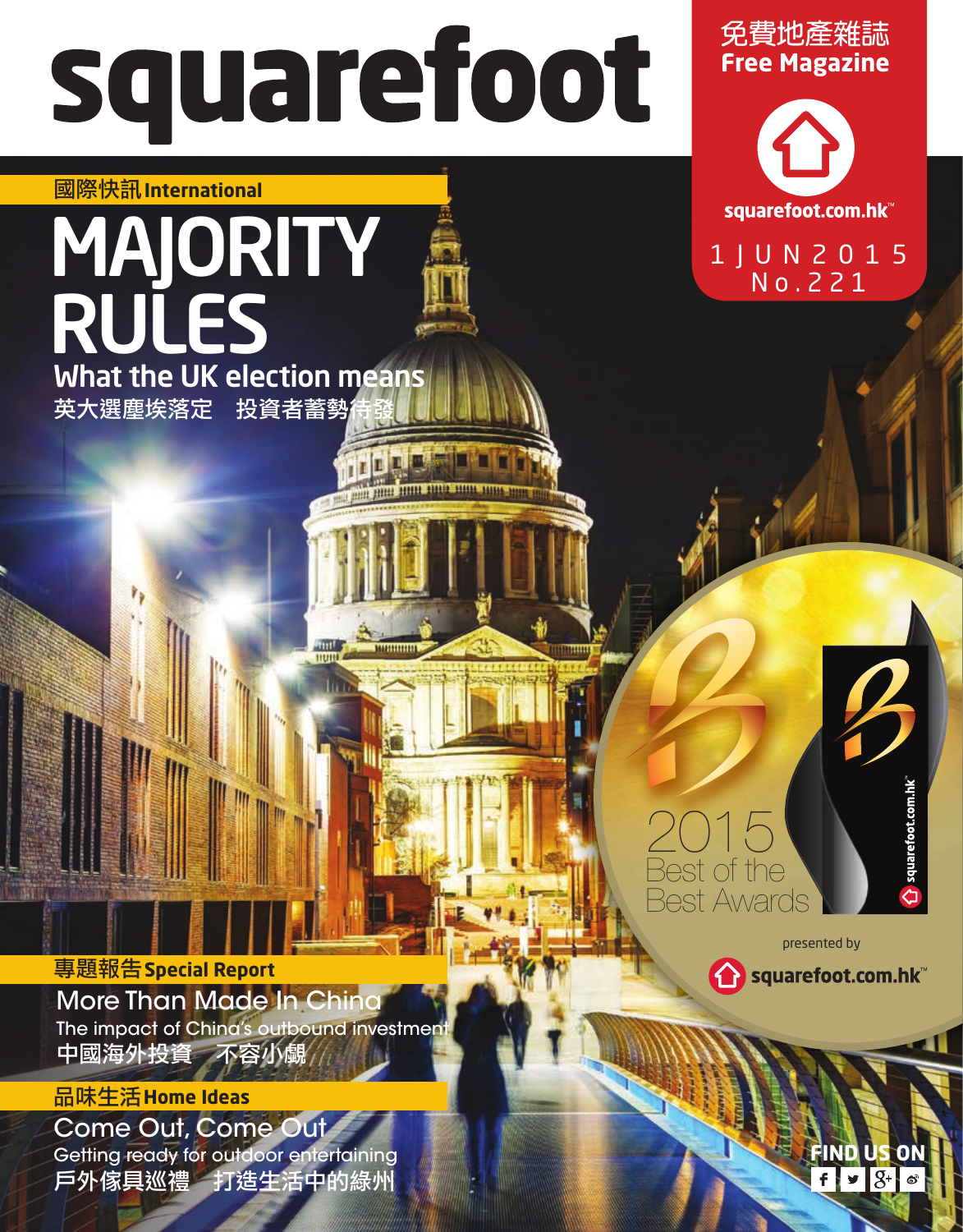## squarefoot

ummm

## 國際快訊**International**

## 英大選塵埃落定 投資者蓄勢 **MAJORITY** RULES What the UK election means

**Free Magazine**  免費地產雜誌



1JUN2015 No.221

**FIND US** 

 $9 - 8 - 8$ 

presented by

Squarefoot.com.hk<sup>w</sup>

2015

Best of the Best Awards

More Than Made In China The impact of China's outbound investment 中國海外投資 不容小覷 專題報告**Special Report**

## 品味生活**Home Ideas**

Come Out, Come Out Getting ready for outdoor entertaining 戶外傢具巡禮 打造生活中的綠州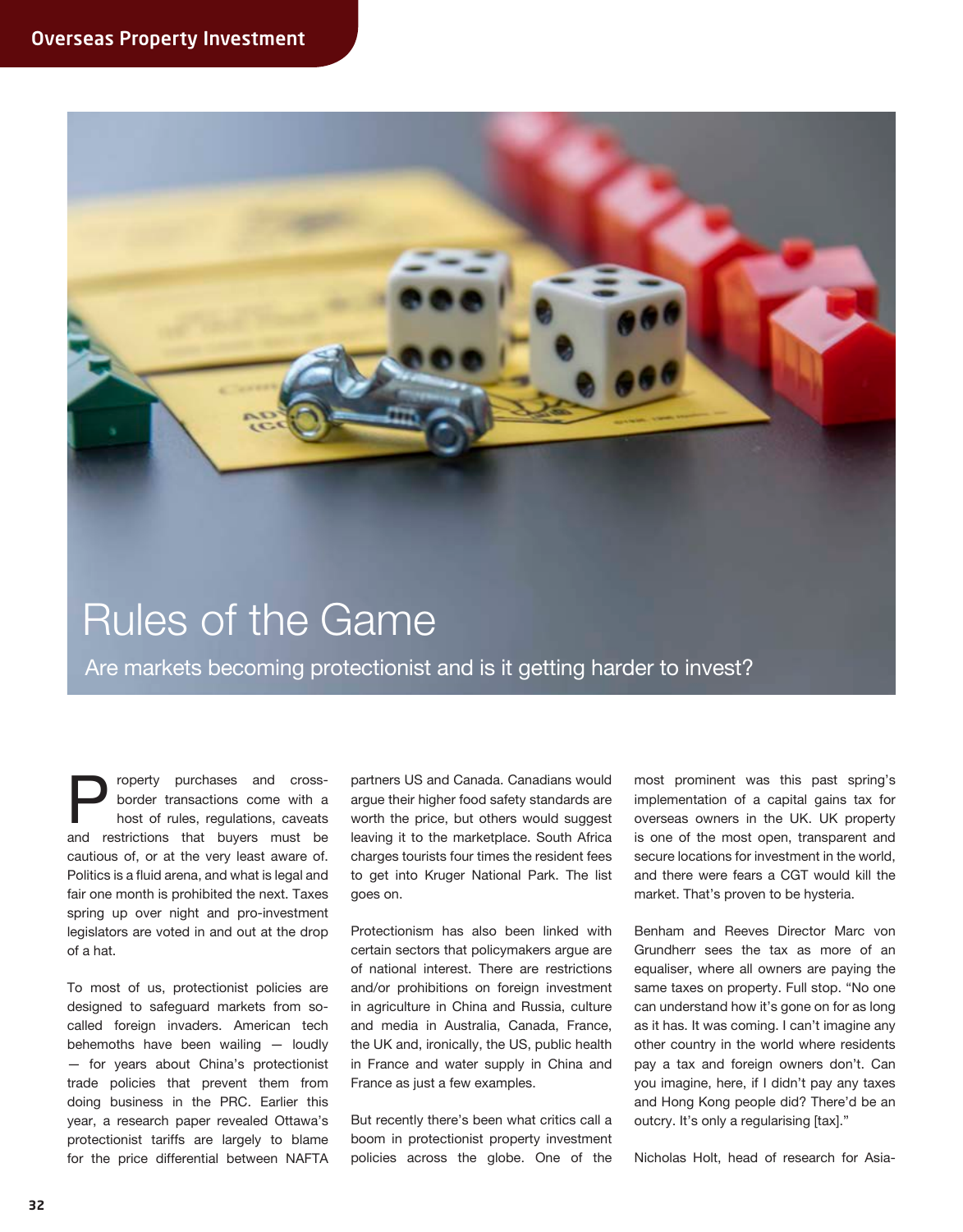

property purchases and cross-<br>border transactions come with a<br>host of rules, regulations, caveats<br>and restrictions that buyers must be border transactions come with a host of rules, regulations, caveats cautious of, or at the very least aware of. Politics is a fluid arena, and what is legal and fair one month is prohibited the next. Taxes spring up over night and pro-investment legislators are voted in and out at the drop of a hat.

To most of us, protectionist policies are designed to safeguard markets from socalled foreign invaders. American tech behemoths have been wailing — loudly — for years about China's protectionist trade policies that prevent them from doing business in the PRC. Earlier this year, a research paper revealed Ottawa's protectionist tariffs are largely to blame for the price differential between NAFTA partners US and Canada. Canadians would argue their higher food safety standards are worth the price, but others would suggest leaving it to the marketplace. South Africa charges tourists four times the resident fees to get into Kruger National Park. The list goes on.

Protectionism has also been linked with certain sectors that policymakers argue are of national interest. There are restrictions and/or prohibitions on foreign investment in agriculture in China and Russia, culture and media in Australia, Canada, France, the UK and, ironically, the US, public health in France and water supply in China and France as just a few examples.

But recently there's been what critics call a boom in protectionist property investment policies across the globe. One of the

most prominent was this past spring's implementation of a capital gains tax for overseas owners in the UK. UK property is one of the most open, transparent and secure locations for investment in the world, and there were fears a CGT would kill the market. That's proven to be hysteria.

Benham and Reeves Director Marc von Grundherr sees the tax as more of an equaliser, where all owners are paying the same taxes on property. Full stop. "No one can understand how it's gone on for as long as it has. It was coming. I can't imagine any other country in the world where residents pay a tax and foreign owners don't. Can you imagine, here, if I didn't pay any taxes and Hong Kong people did? There'd be an outcry. It's only a regularising [tax]."

Nicholas Holt, head of research for Asia-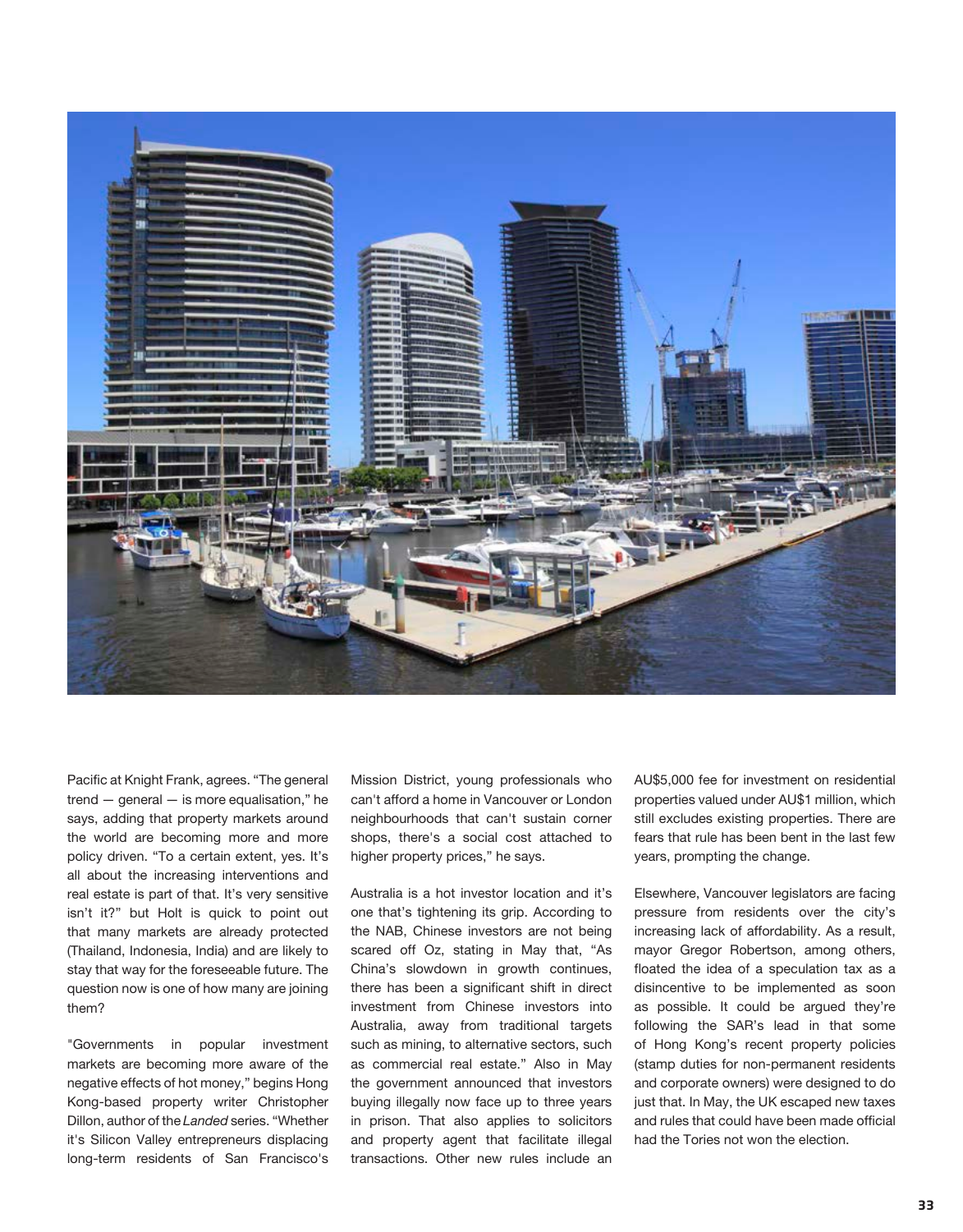

Pacific at Knight Frank, agrees. "The general trend — general — is more equalisation," he says, adding that property markets around the world are becoming more and more policy driven. "To a certain extent, yes. It's all about the increasing interventions and real estate is part of that. It's very sensitive isn't it?" but Holt is quick to point out that many markets are already protected (Thailand, Indonesia, India) and are likely to stay that way for the foreseeable future. The question now is one of how many are joining them?

"Governments in popular investment markets are becoming more aware of the negative effects of hot money," begins Hong Kong-based property writer Christopher Dillon, author of the *Landed* series. "Whether it's Silicon Valley entrepreneurs displacing long-term residents of San Francisco's

Mission District, young professionals who can't afford a home in Vancouver or London neighbourhoods that can't sustain corner shops, there's a social cost attached to higher property prices," he says.

Australia is a hot investor location and it's one that's tightening its grip. According to the NAB, Chinese investors are not being scared off Oz, stating in May that, "As China's slowdown in growth continues, there has been a significant shift in direct investment from Chinese investors into Australia, away from traditional targets such as mining, to alternative sectors, such as commercial real estate." Also in May the government announced that investors buying illegally now face up to three years in prison. That also applies to solicitors and property agent that facilitate illegal transactions. Other new rules include an

AU\$5,000 fee for investment on residential properties valued under AU\$1 million, which still excludes existing properties. There are fears that rule has been bent in the last few years, prompting the change.

Elsewhere, Vancouver legislators are facing pressure from residents over the city's increasing lack of affordability. As a result, mayor Gregor Robertson, among others, floated the idea of a speculation tax as a disincentive to be implemented as soon as possible. It could be argued they're following the SAR's lead in that some of Hong Kong's recent property policies (stamp duties for non-permanent residents and corporate owners) were designed to do just that. In May, the UK escaped new taxes and rules that could have been made official had the Tories not won the election.